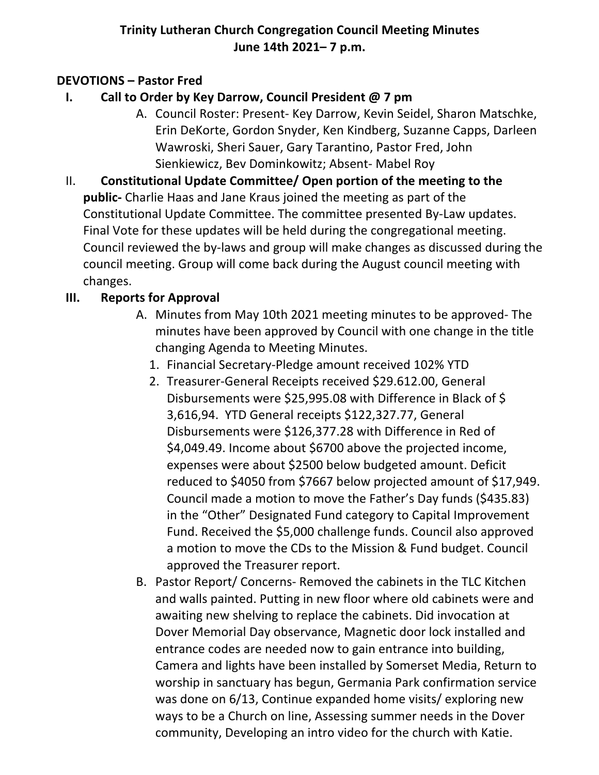# **Trinity Lutheran Church Congregation Council Meeting Minutes June 14th 2021– 7 p.m.**

### **DEVOTIONS – Pastor Fred**

- **I. Call to Order by Key Darrow, Council President @ 7 pm**
	- A. Council Roster: Present- Key Darrow, Kevin Seidel, Sharon Matschke, Erin DeKorte, Gordon Snyder, Ken Kindberg, Suzanne Capps, Darleen Wawroski, Sheri Sauer, Gary Tarantino, Pastor Fred, John Sienkiewicz, Bev Dominkowitz; Absent- Mabel Roy
- II. **Constitutional Update Committee/ Open portion of the meeting to the public-** Charlie Haas and Jane Kraus joined the meeting as part of the Constitutional Update Committee. The committee presented By-Law updates. Final Vote for these updates will be held during the congregational meeting. Council reviewed the by-laws and group will make changes as discussed during the council meeting. Group will come back during the August council meeting with changes.

# **III. Reports for Approval**

- A. Minutes from May 10th 2021 meeting minutes to be approved- The minutes have been approved by Council with one change in the title changing Agenda to Meeting Minutes.
	- 1. Financial Secretary-Pledge amount received 102% YTD
	- 2. Treasurer-General Receipts received \$29.612.00, General Disbursements were \$25,995.08 with Difference in Black of \$ 3,616,94. YTD General receipts \$122,327.77, General Disbursements were \$126,377.28 with Difference in Red of \$4,049.49. Income about \$6700 above the projected income, expenses were about \$2500 below budgeted amount. Deficit reduced to \$4050 from \$7667 below projected amount of \$17,949. Council made a motion to move the Father's Day funds (\$435.83) in the "Other" Designated Fund category to Capital Improvement Fund. Received the \$5,000 challenge funds. Council also approved a motion to move the CDs to the Mission & Fund budget. Council approved the Treasurer report.
- B. Pastor Report/ Concerns- Removed the cabinets in the TLC Kitchen and walls painted. Putting in new floor where old cabinets were and awaiting new shelving to replace the cabinets. Did invocation at Dover Memorial Day observance, Magnetic door lock installed and entrance codes are needed now to gain entrance into building, Camera and lights have been installed by Somerset Media, Return to worship in sanctuary has begun, Germania Park confirmation service was done on 6/13, Continue expanded home visits/ exploring new ways to be a Church on line, Assessing summer needs in the Dover community, Developing an intro video for the church with Katie.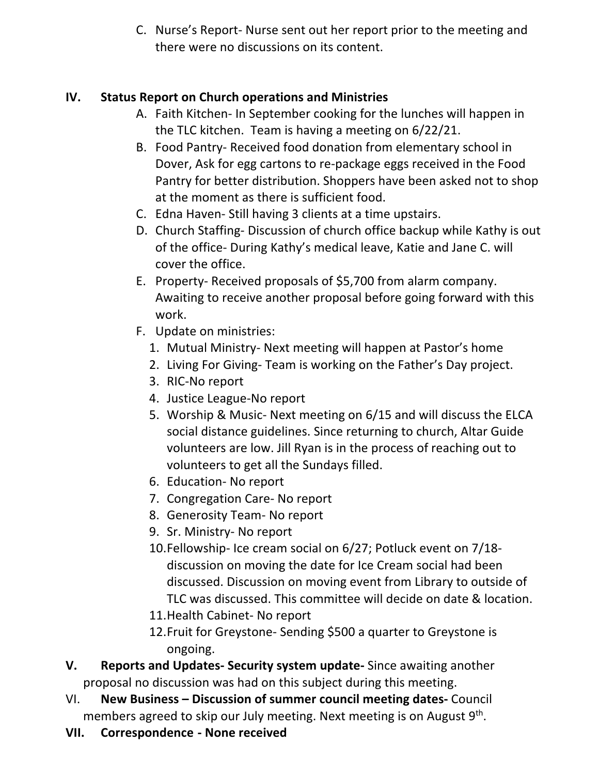C. Nurse's Report- Nurse sent out her report prior to the meeting and there were no discussions on its content.

# **IV. Status Report on Church operations and Ministries**

- A. Faith Kitchen- In September cooking for the lunches will happen in the TLC kitchen. Team is having a meeting on 6/22/21.
- B. Food Pantry- Received food donation from elementary school in Dover, Ask for egg cartons to re-package eggs received in the Food Pantry for better distribution. Shoppers have been asked not to shop at the moment as there is sufficient food.
- C. Edna Haven- Still having 3 clients at a time upstairs.
- D. Church Staffing- Discussion of church office backup while Kathy is out of the office- During Kathy's medical leave, Katie and Jane C. will cover the office.
- E. Property- Received proposals of \$5,700 from alarm company. Awaiting to receive another proposal before going forward with this work.
- F. Update on ministries:
	- 1. Mutual Ministry- Next meeting will happen at Pastor's home
	- 2. Living For Giving- Team is working on the Father's Day project.
	- 3. RIC-No report
	- 4. Justice League-No report
	- 5. Worship & Music- Next meeting on 6/15 and will discuss the ELCA social distance guidelines. Since returning to church, Altar Guide volunteers are low. Jill Ryan is in the process of reaching out to volunteers to get all the Sundays filled.
	- 6. Education- No report
	- 7. Congregation Care- No report
	- 8. Generosity Team- No report
	- 9. Sr. Ministry- No report
	- 10.Fellowship- Ice cream social on 6/27; Potluck event on 7/18 discussion on moving the date for Ice Cream social had been discussed. Discussion on moving event from Library to outside of TLC was discussed. This committee will decide on date & location.
	- 11.Health Cabinet- No report
	- 12.Fruit for Greystone- Sending \$500 a quarter to Greystone is ongoing.
- **V. Reports and Updates- Security system update-** Since awaiting another proposal no discussion was had on this subject during this meeting.
- VI. **New Business – Discussion of summer council meeting dates-** Council members agreed to skip our July meeting. Next meeting is on August  $9<sup>th</sup>$ .
- **VII. Correspondence - None received**